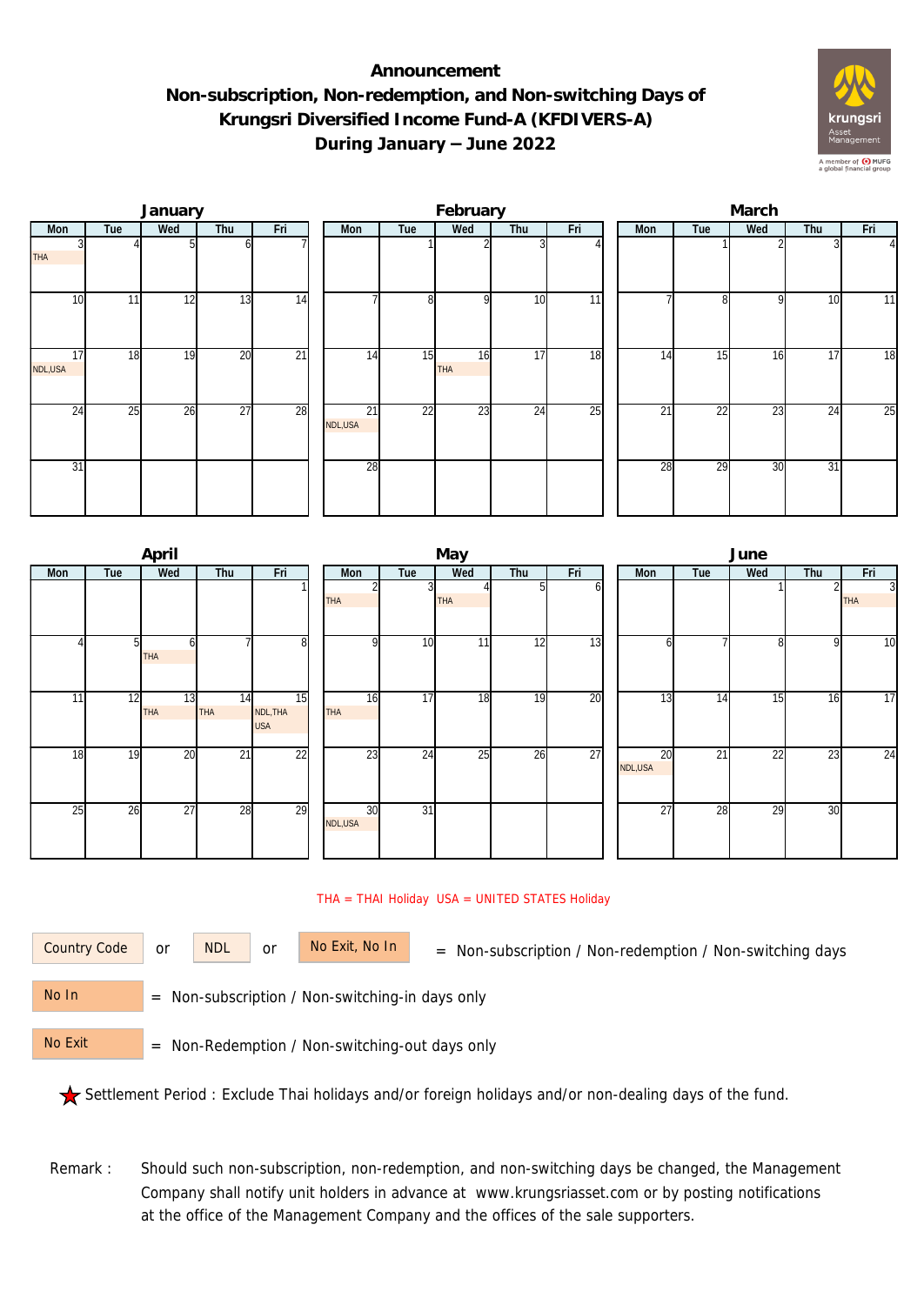## **Announcement Non-subscription, Non-redemption, and Non-switching Days of Krungsri Diversified Income Fund-A (KFDIVERS-A) During January – June 2022**



|               |     | January |                 |                 |  |               | February |                  |                 | March           |     |                 |     |     |          |  |
|---------------|-----|---------|-----------------|-----------------|--|---------------|----------|------------------|-----------------|-----------------|-----|-----------------|-----|-----|----------|--|
| Mon           | Tue | Wed     | Thu             | Fri             |  | Mon           | Tue      | Wed              | Thu             | Fri             | Mon | Tue             | Wed | Thu | Fri      |  |
| <b>THA</b>    |     |         |                 |                 |  |               |          |                  |                 |                 |     |                 |     |     | $\Delta$ |  |
| 10            | 11  | 12      | 13              | $\overline{14}$ |  |               | 8        | <sup>Q</sup>     | 10              | $\overline{11}$ |     | 81              | 9   | 10  | 11       |  |
| 17<br>NDL,USA | 18  | 19      | 20              | $\overline{21}$ |  | 14            | 15       | 16<br><b>THA</b> | 17              | 18              | 14  | 15              | 16  | 17  | 18       |  |
| 24            | 25  | 26      | $\overline{27}$ | 28              |  | 21<br>NDL,USA | 22       | $\overline{23}$  | $2\overline{4}$ | 25              | 21  | $2\overline{2}$ | 23  | 24  | 25       |  |
| 31            |     |         |                 |                 |  | 28            |          |                  |                 |                 | 28  | 29              | 30  | 31  |          |  |

|     |     | April            |                  |                              | May            |                 |            |     |     |  |                | June            |     |                 |                              |  |  |  |
|-----|-----|------------------|------------------|------------------------------|----------------|-----------------|------------|-----|-----|--|----------------|-----------------|-----|-----------------|------------------------------|--|--|--|
| Mon | Tue | Wed              | Thu              | Fri                          | Mon            | Tue             | Wed        | Thu | Fri |  | Mon            | Tue             | Wed | Thu             | Fri                          |  |  |  |
|     |     |                  |                  |                              | <b>THA</b>     | 3               | <b>THA</b> | 5   | b   |  |                |                 |     |                 | $\overline{3}$<br><b>THA</b> |  |  |  |
|     | 51  | 6<br><b>THA</b>  |                  | 8                            | οI             | 10 <sup>1</sup> | 11         | 12  | 13  |  | n              |                 | 8   | 9               | 10                           |  |  |  |
| 11  | 12  | 13<br><b>THA</b> | 14<br><b>THA</b> | 15<br>NDL, THA<br><b>USA</b> | 16<br>THA      | 17              | 18         | 19  | 20  |  | 13             | 14              | 15  | 16              | 17                           |  |  |  |
| 18  | 19  | 20               | $2\overline{1}$  | $\overline{22}$              | 23             | $2\overline{4}$ | 25         | 26  | 27  |  | 20<br>NDL, USA | $\overline{21}$ | 22  | $2\overline{3}$ | 24                           |  |  |  |
| 25  | 26  | 27               | 28               | 29                           | 30<br>NDL, USA | 31              |            |     |     |  | 27             | 28              | 29  | 30              |                              |  |  |  |

## THA = THAI Holiday USA = UNITED STATES Holiday

or NDL or

Country Code or NDL or No Exit, No In = Non-subscription / Non-redemption / Non-switching days

 = Non-subscription / Non-switching-in days only No In

 = Non-Redemption / Non-switching-out days only No Exit

Settlement Period : Exclude Thai holidays and/or foreign holidays and/or non-dealing days of the fund.

Remark : Should such non-subscription, non-redemption, and non-switching days be changed, the Management Company shall notify unit holders in advance at www.krungsriasset.com or by posting notifications at the office of the Management Company and the offices of the sale supporters.